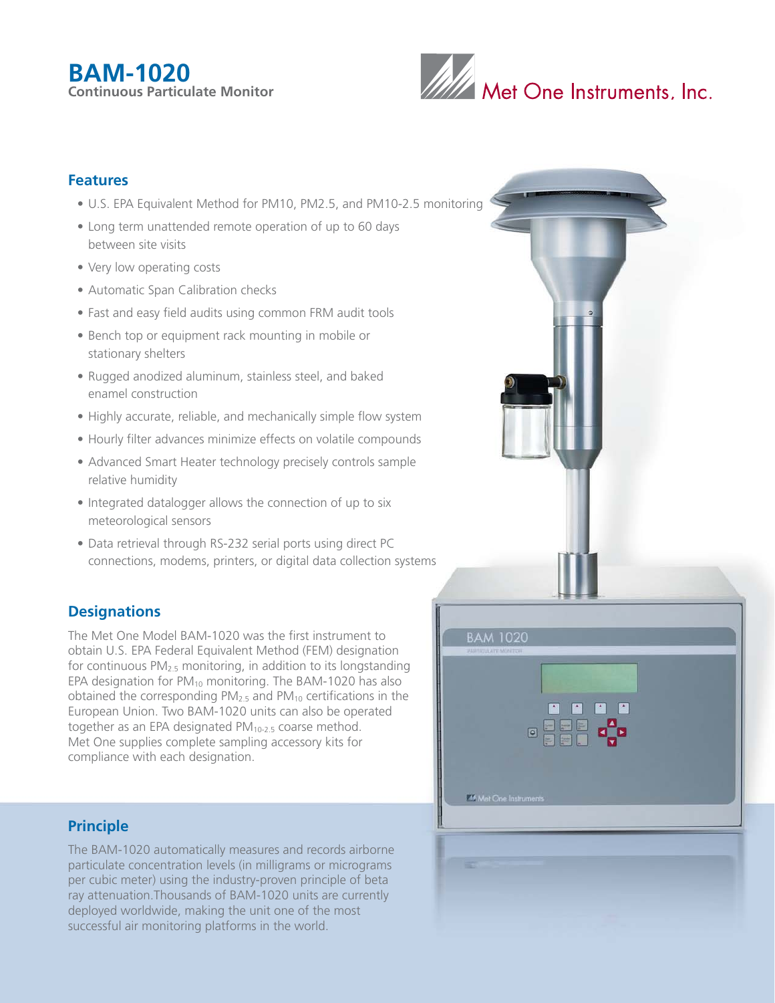# **BAM-1020 Continuous Particulate Monitor**



## **Features**

- U.S. EPA Equivalent Method for PM10, PM2.5, and PM10-2.5 monitoring
- Long term unattended remote operation of up to 60 days between site visits
- Very low operating costs
- Automatic Span Calibration checks
- Fast and easy field audits using common FRM audit tools
- Bench top or equipment rack mounting in mobile or stationary shelters
- Rugged anodized aluminum, stainless steel, and baked enamel construction
- Highly accurate, reliable, and mechanically simple flow system
- Hourly filter advances minimize effects on volatile compounds
- Advanced Smart Heater technology precisely controls sample relative humidity
- Integrated datalogger allows the connection of up to six meteorological sensors
- Data retrieval through RS-232 serial ports using direct PC connections, modems, printers, or digital data collection systems

# **Designations**

The Met One Model BAM-1020 was the first instrument to obtain U.S. EPA Federal Equivalent Method (FEM) designation for continuous  $PM<sub>2.5</sub>$  monitoring, in addition to its longstanding EPA designation for  $PM_{10}$  monitoring. The BAM-1020 has also obtained the corresponding  $PM_{2.5}$  and  $PM_{10}$  certifications in the European Union. Two BAM-1020 units can also be operated together as an EPA designated PM<sub>10-2.5</sub> coarse method. Met One supplies complete sampling accessory kits for compliance with each designation.

## **Principle**

The BAM-1020 automatically measures and records airborne particulate concentration levels (in milligrams or micrograms per cubic meter) using the industry-proven principle of beta ray attenuation.Thousands of BAM-1020 units are currently deployed worldwide, making the unit one of the most successful air monitoring platforms in the world.

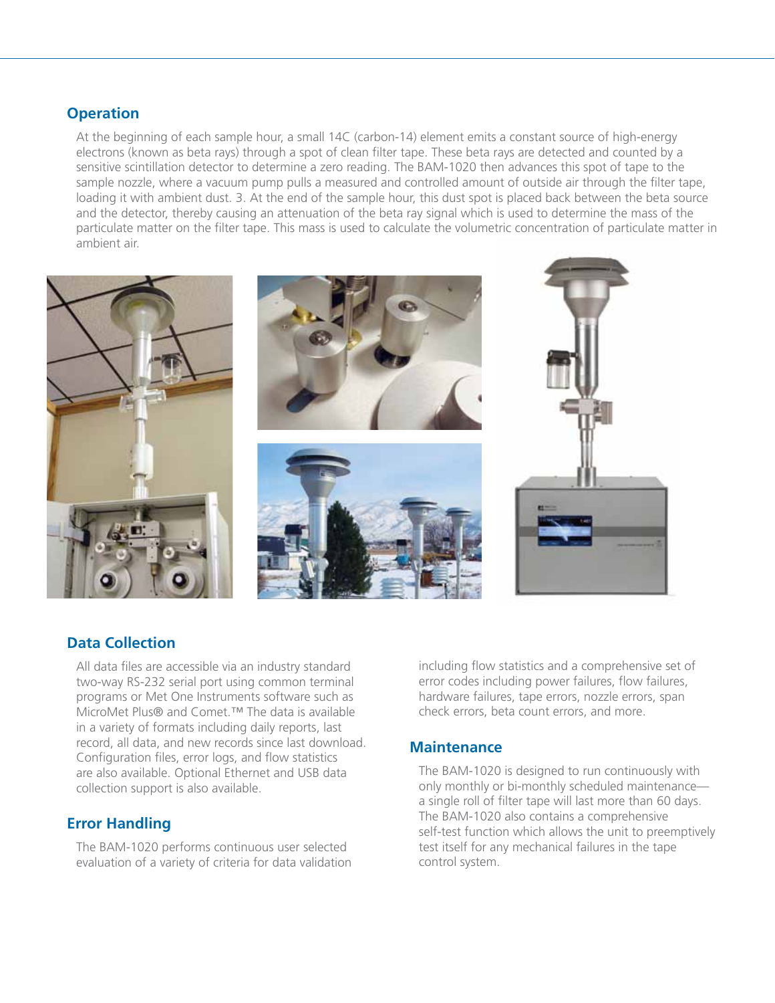## **Operation**

 At the beginning of each sample hour, a small 14C (carbon-14) element emits a constant source of high-energy electrons (known as beta rays) through a spot of clean filter tape. These beta rays are detected and counted by a sensitive scintillation detector to determine a zero reading. The BAM-1020 then advances this spot of tape to the sample nozzle, where a vacuum pump pulls a measured and controlled amount of outside air through the filter tape, loading it with ambient dust. 3. At the end of the sample hour, this dust spot is placed back between the beta source and the detector, thereby causing an attenuation of the beta ray signal which is used to determine the mass of the particulate matter on the filter tape. This mass is used to calculate the volumetric concentration of particulate matter in ambient air.



## **Data Collection**

 All data files are accessible via an industry standard two-way RS-232 serial port using common terminal programs or Met One Instruments software such as MicroMet Plus® and Comet.™ The data is available in a variety of formats including daily reports, last record, all data, and new records since last download. Configuration files, error logs, and flow statistics are also available. Optional Ethernet and USB data collection support is also available.

## **Error Handling**

 The BAM-1020 performs continuous user selected evaluation of a variety of criteria for data validation  including flow statistics and a comprehensive set of error codes including power failures, flow failures, hardware failures, tape errors, nozzle errors, span check errors, beta count errors, and more.

## **Maintenance**

 The BAM-1020 is designed to run continuously with only monthly or bi-monthly scheduled maintenance a single roll of filter tape will last more than 60 days. The BAM-1020 also contains a comprehensive self-test function which allows the unit to preemptively test itself for any mechanical failures in the tape control system.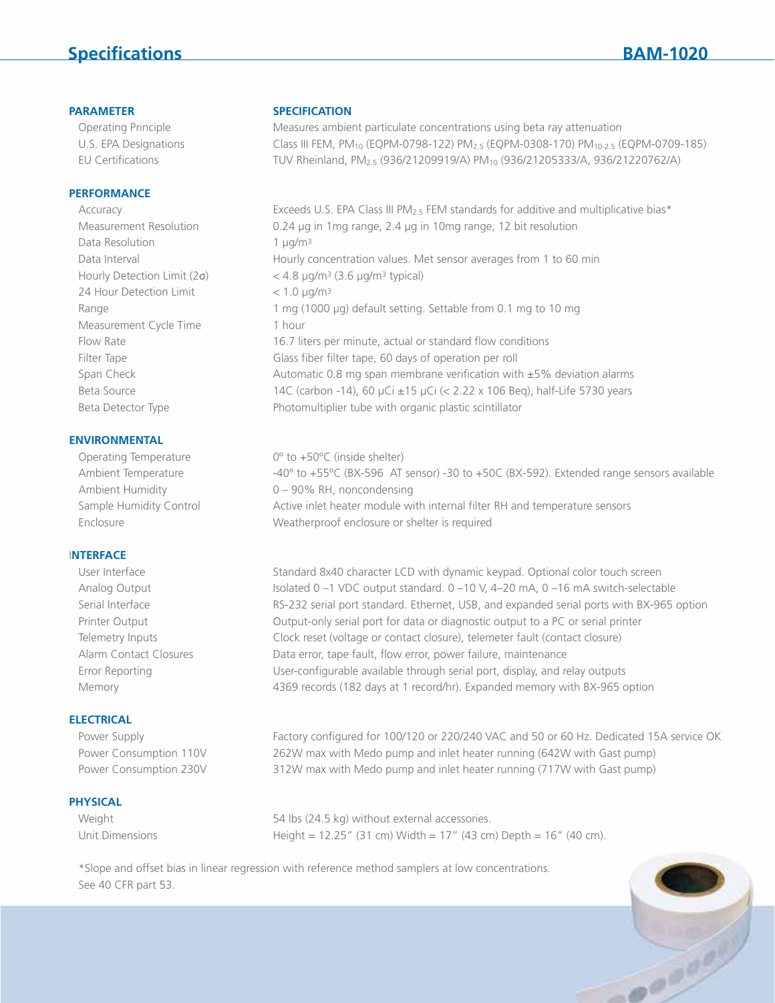# **Specifications BAM-1020**

#### **PERFORMANCE**

Data Resolution  $1 \mu q/m^3$ 24 Hour Detection Limit  $\langle 1.0 \text{ µg/m}^3 \rangle$ Measurement Cycle Time 1 hour

#### **ENVIRONMENTAL**

#### I**NTERFACE**

### **ELECTRICAL**

#### **PHYSICAL**

#### **PARAMETER SPECIFICATION**

 Operating Principle Measures ambient particulate concentrations using beta ray attenuation U.S. EPA Designations Class III FEM, PM10 (EQPM-0798-122) PM2.5 (EQPM-0308-170) PM10-2.5 (EQPM-0709-185) EU Certifications TUV Rheinland, PM<sub>2.5</sub> (936/21209919/A) PM<sub>10</sub> (936/21205333/A, 936/21220762/A)

Accuracy Exceeds U.S. EPA Class III PM<sub>2.5</sub> FEM standards for additive and multiplicative bias\* Measurement Resolution 0.24 µg in 1mg range, 2.4 µg in 10mg range, 12 bit resolution Data Interval **Hourly concentration values.** Met sensor averages from 1 to 60 min Hourly Detection Limit  $(2\sigma)$  < 4.8 µg/m<sup>3</sup> (3.6 µg/m<sup>3</sup> typical) Range 1 mg (1000 µg) default setting. Settable from 0.1 mg to 10 mg Flow Rate 16.7 liters per minute, actual or standard flow conditions Filter Tape Glass fiber filter tape, 60 days of operation per roll Span Check **Automatic 0.8 mg span membrane verification with ±5% deviation alarms** Span Check Beta Source 14C (carbon -14), 60 µCi  $\pm$ 15 µCi (< 2.22 x 106 Beq), half-Life 5730 years Beta Detector Type **Photomultiplier tube with organic plastic scintillator** 

Operating Temperature 0<sup>o</sup> to +50°C (inside shelter) Ambient Temperature -40° to +55°C (BX-596 AT sensor) -30 to +50C (BX-592). Extended range sensors available Ambient Humidity 0 – 90% RH, noncondensing Sample Humidity Control **Active inlet heater module with internal filter RH and temperature sensors** Enclosure Weatherproof enclosure or shelter is required

User Interface Standard 8x40 character LCD with dynamic keypad. Optional color touch screen Analog Output Isolated 0 –1 VDC output standard. 0 –10 V, 4–20 mA, 0 –16 mA switch-selectable Serial Interface RS-232 serial port standard. Ethernet, USB, and expanded serial ports with BX-965 option Printer Output **Output-only serial port for data or diagnostic output to a PC or serial printer**  Telemetry Inputs Clock reset (voltage or contact closure), telemeter fault (contact closure) Alarm Contact Closures Data error, tape fault, flow error, power failure, maintenance Error Reporting User-configurable available through serial port, display, and relay outputs Memory 4369 records (182 days at 1 record/hr). Expanded memory with BX-965 option

Power Supply Factory configured for 100/120 or 220/240 VAC and 50 or 60 Hz. Dedicated 15A service OK Power Consumption 110V 262W max with Medo pump and inlet heater running (642W with Gast pump) Power Consumption 230V 312W max with Medo pump and inlet heater running (717W with Gast pump)

Weight 654 lbs (24.5 kg) without external accessories. Unit Dimensions Height = 12.25" (31 cm) Width = 17" (43 cm) Depth = 16" (40 cm).

 \*Slope and offset bias in linear regression with reference method samplers at low concentrations. See 40 CFR part 53.